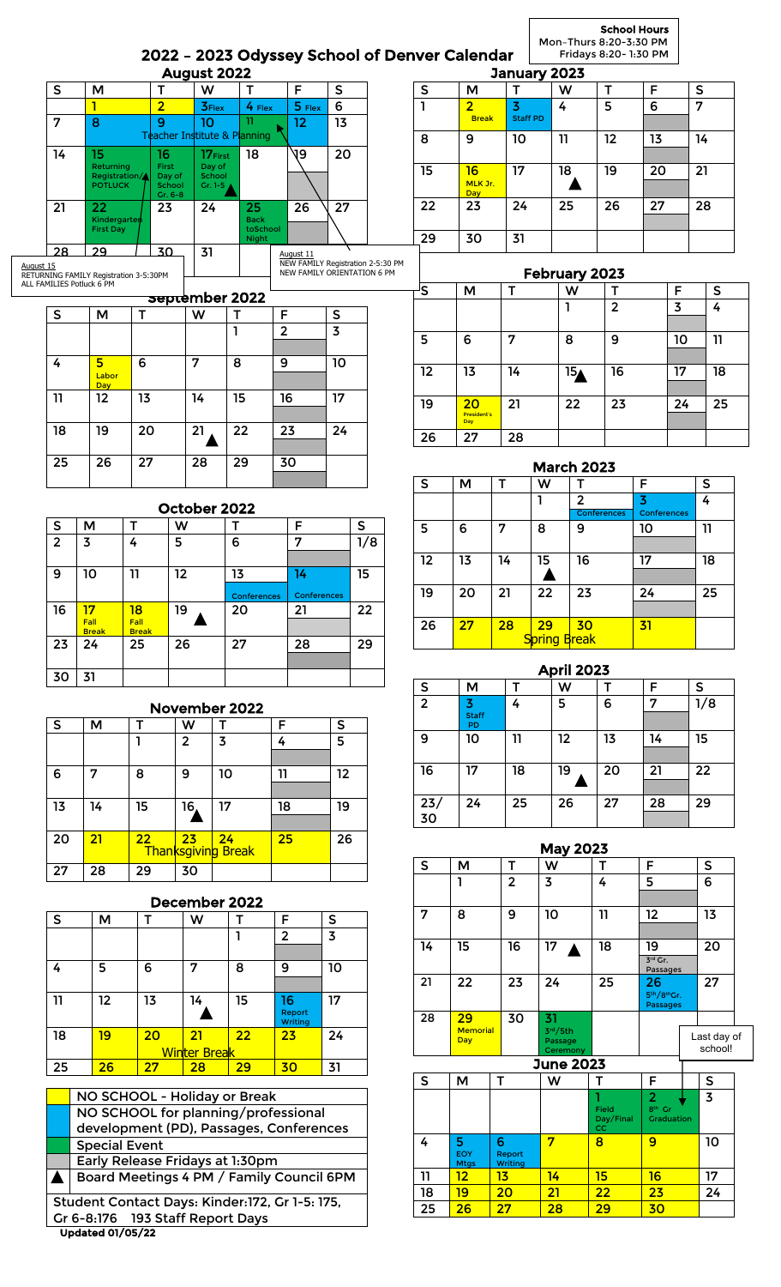2022 – 2023 Odyssey School of Denver Calendar School Hours Mon–Thurs 8:20-3:30 PM Fridays 8:20- 1:30 PM

|                                   |                                        |                      |                                 | August 2022                              |                          |                                          |                         |                                   |     |                                | January 2023                      |                         |                    |                               |                |           |
|-----------------------------------|----------------------------------------|----------------------|---------------------------------|------------------------------------------|--------------------------|------------------------------------------|-------------------------|-----------------------------------|-----|--------------------------------|-----------------------------------|-------------------------|--------------------|-------------------------------|----------------|-----------|
|                                   | M                                      |                      | т                               | W                                        | T                        | $\overline{F}$                           | $\mathsf{s}$            |                                   | S   | M                              | $\overline{\mathsf{T}}$           | $\overline{\mathsf{w}}$ | $\mathsf{T}$       | $\overline{F}$                | $\sf S$        |           |
| 1<br>8                            |                                        |                      | $\overline{2}$<br>9             | <b>3Flex</b><br>10                       | 4 Flex<br>n              | 5 Flex<br>12                             | $6\phantom{a}$<br>13    |                                   | ı   | $\overline{2}$<br><b>Break</b> | $\overline{3}$<br><b>Staff PD</b> | 4                       | 5                  | 6                             | $\overline{7}$ |           |
|                                   |                                        |                      |                                 | Teacher Institute & Planning             |                          |                                          |                         |                                   | 8   | 9                              | 10                                | 11                      | 12                 | 13                            |                | 14        |
| 15<br>Returning<br><b>POTLUCK</b> |                                        | Registration/        | 16<br>First<br>Day of<br>School | 17First<br>Day of<br>School<br>Gr. 1-5 A | 18                       | 19                                       | 20                      |                                   | 15  | 16<br>MLK Jr.<br><b>Day</b>    | 17                                | 18                      | 19                 | 20                            |                | 21        |
|                                   | 22<br><b>Kindergarten</b>              |                      | Gr. 6-8<br>23                   | 24                                       | 25<br><b>Back</b>        | 26                                       | 27                      |                                   | 22  | 23                             | 24                                | 25                      | 26                 | 27                            |                | 28        |
|                                   | <b>First Day</b><br>29                 |                      | 30                              | 31                                       | toSchool<br><b>Night</b> |                                          |                         |                                   | 29  | 30                             | 31                                |                         |                    |                               |                |           |
|                                   | RETURNING FAMILY Registration 3-5:30PM |                      |                                 |                                          |                          | August 11<br>NEW FAMILY ORIENTATION 6 PM |                         | NEW FAMILY Registration 2-5:30 PM |     |                                |                                   | February 2023           |                    |                               |                |           |
|                                   | ALL FAMILIES Potluck 6 PM              |                      |                                 | september 2022                           |                          |                                          |                         |                                   | ls. | M                              | $\mathsf{T}$                      | W                       | Т                  |                               | F              | ${\sf S}$ |
|                                   | M                                      | т                    |                                 | W                                        | Т                        | F                                        | ${\sf S}$               |                                   |     |                                |                                   | 1                       | $\overline{2}$     |                               | $\overline{3}$ | 4         |
|                                   |                                        |                      |                                 |                                          | ı                        | $\overline{2}$                           | $\overline{\mathbf{3}}$ |                                   | 5   | 6                              | $\overline{7}$                    | 8                       | 9                  |                               | 10             | 11        |
|                                   | 5 <sub>5</sub><br>Labor<br>Day         | 6                    |                                 | 7                                        | 8                        | 9                                        | 10                      |                                   | 12  | 13                             | 14                                | 15 <sub>A</sub>         | 16                 |                               | 17             | 18        |
|                                   | 12                                     | 13                   |                                 | 14                                       | 15                       | 16                                       | 17                      |                                   | 19  | 20<br>President's              | 21                                | $\overline{22}$         | 23                 |                               | 24             | 25        |
|                                   | 19                                     | 20                   |                                 | 21                                       | 22                       | 23                                       | 24                      |                                   | 26  | Day<br>27                      | 28                                |                         |                    |                               |                |           |
| 25                                | 26                                     | 27                   |                                 | 28                                       | 29                       | 30                                       |                         |                                   |     |                                |                                   | <b>March 2023</b>       |                    |                               |                |           |
|                                   |                                        |                      |                                 |                                          |                          |                                          |                         |                                   | S   | M                              | T<br>W                            | т                       |                    | F                             |                | S         |
|                                   |                                        |                      |                                 | October 2022                             |                          |                                          |                         |                                   |     |                                | 1                                 | $\overline{2}$          | <b>Conferences</b> | $\overline{3}$<br>Conferences |                | 4         |
| ${\sf S}$<br>$\overline{2}$       | M<br>3                                 | $\mathsf T$<br>4     | W<br>5                          |                                          | Т<br>6                   | F<br>$\overline{7}$                      |                         | $\mathsf{S}$<br>$\overline{1/8}$  | 5   | 6                              | $\overline{7}$<br>8               | 9                       |                    | 10                            |                | 11        |
|                                   |                                        |                      |                                 |                                          |                          |                                          |                         |                                   | 12  | 13                             | 14<br>15                          | 16                      |                    | 17                            |                | 18        |
|                                   | 10                                     | 11                   | 12                              |                                          | 13                       | 14                                       |                         | 15                                | 19  | 20                             | 21                                | 23                      |                    |                               |                | 25        |
|                                   | 17                                     | 18                   | 19                              |                                          | Conferences<br>20        | Conferences<br>21                        |                         | 22                                |     |                                |                                   | 22                      |                    | 24                            |                |           |
|                                   | Fall<br><b>Drook</b>                   | Fall<br><b>Drook</b> |                                 |                                          |                          |                                          |                         |                                   | 26  | 27                             | 28<br>29                          | 30                      |                    | 31                            |                |           |

|    |    |    |                | November 2022                   |    |         |
|----|----|----|----------------|---------------------------------|----|---------|
| S  | м  | т  | w              |                                 | F  | S       |
|    |    |    | $\overline{2}$ | 3                               | 4  | 5       |
| 6  | 7  | 8  | 9              | 10                              | 11 | $12 \,$ |
| 13 | 14 | 15 | 16,            | 17                              | 18 | 19      |
| 20 | 21 | 22 | 23             | 24<br><b>Thanksgiving Break</b> | 25 | 26      |
| 27 | 28 | 29 | 30             |                                 |    |         |

23 24 25 26 27 28 29

| December 2022 |    |    |                     |    |                   |    |
|---------------|----|----|---------------------|----|-------------------|----|
| l s           | М  |    | w                   |    | F                 | S  |
|               |    |    |                     |    | $\overline{2}$    | 3  |
|               |    |    |                     |    |                   |    |
| 4             | 5  | 6  | 7                   | 8  | 9                 | 10 |
|               |    |    |                     |    |                   |    |
| 11            | 12 | 13 | 14                  | 15 | 16                | 17 |
|               |    |    |                     |    | Report<br>Writing |    |
| 18            | 19 | 20 | 21                  | 22 | 23                | 24 |
|               |    |    | <b>Winter Break</b> |    |                   |    |
| 25            | 26 | 27 | 28                  | 29 | 30                | 31 |

|                                                | NO SCHOOL - Holiday or Break             |  |  |  |
|------------------------------------------------|------------------------------------------|--|--|--|
|                                                | NO SCHOOL for planning/professional      |  |  |  |
|                                                | development (PD), Passages, Conferences  |  |  |  |
|                                                | <b>Special Event</b>                     |  |  |  |
|                                                | Early Release Fridays at 1:30pm          |  |  |  |
|                                                | Board Meetings 4 PM / Family Council 6PM |  |  |  |
| Student Contact Days: Kinder:172, Gr 1-5: 175, |                                          |  |  |  |
|                                                | Gr 6-8:176 193 Staff Report Days         |  |  |  |
|                                                |                                          |  |  |  |

Break<br>24

30 31

Break<br>25

## April 2023 S | M | T | W | T | F | S  $2 \frac{3}{\frac{\text{Staff}}{\text{PD}}}$ 4 5 6 7 1/8 9 10 11 12 13 14 15 16 17 18 19 20 21 22 23/ 30 24 25 26 27 28 29

S<mark>pring B</mark>reak

| <b>May 2023</b> |                               |                   |                              |                                 |                                         |                |  |  |
|-----------------|-------------------------------|-------------------|------------------------------|---------------------------------|-----------------------------------------|----------------|--|--|
| S               | М                             | т                 | W                            | т                               | F                                       | S              |  |  |
|                 | 1                             | $\overline{2}$    | $\overline{3}$               | 4                               | 5                                       | 6              |  |  |
|                 |                               |                   |                              |                                 |                                         |                |  |  |
| 7               | 8                             | 9                 | 10                           | 11                              | 12                                      | 13             |  |  |
|                 |                               |                   |                              |                                 |                                         |                |  |  |
| 14              | 15                            | 16                | 17<br>A                      | 18                              | 19                                      | 20             |  |  |
|                 |                               |                   |                              |                                 | $3rd$ Gr.<br>Passages                   |                |  |  |
| 21              | 22                            | 23                | 24                           | 25                              | 26                                      | 27             |  |  |
|                 |                               |                   |                              |                                 | 5th/8thGr.<br><b>Passages</b>           |                |  |  |
| 28              | 29                            | 30                | 31                           |                                 |                                         |                |  |  |
|                 | <b>Memorial</b><br><b>Day</b> |                   | 3rd/5th                      |                                 |                                         | Last day of    |  |  |
|                 |                               |                   | Passage                      |                                 |                                         | school!        |  |  |
|                 |                               |                   | Ceremony<br><b>June 2023</b> |                                 |                                         |                |  |  |
| S               | М                             | Т                 | W                            | т                               | F                                       | S              |  |  |
|                 |                               |                   |                              |                                 | $\overline{2}$                          | $\overline{3}$ |  |  |
|                 |                               |                   |                              | <b>Field</b><br>Day/Final<br>cc | 8 <sup>th</sup> Gr<br><b>Graduation</b> |                |  |  |
| 4               | 5                             | 6                 | 7                            | 8                               | 9                                       | 10             |  |  |
|                 | EOY<br><b>Mtgs</b>            | Report<br>Writing |                              |                                 |                                         |                |  |  |
| 11              | 12                            | 13                | 14                           | 15                              | 16                                      | 17             |  |  |
| 18              | 19                            | 20                | 21                           | 22                              | 23                                      | 24             |  |  |